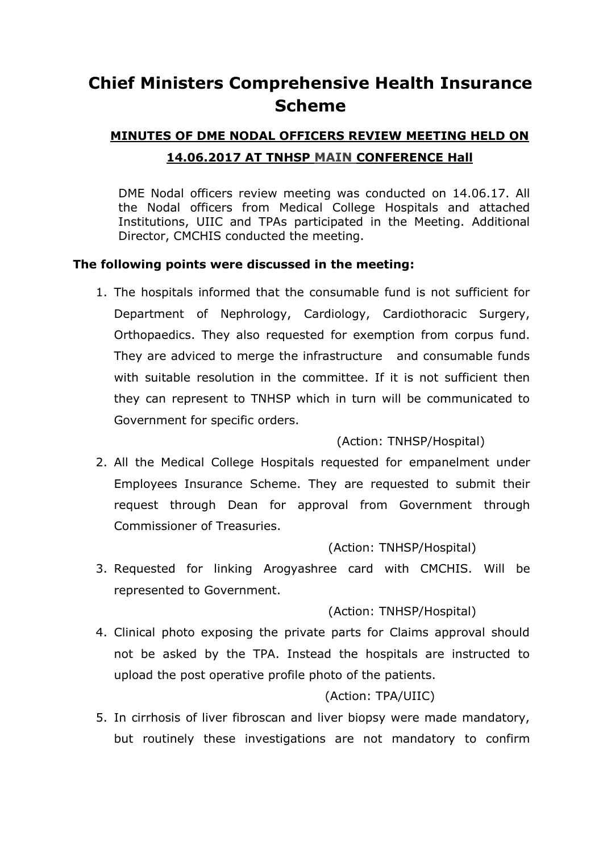## **Chief Ministers Comprehensive Health Insurance Scheme**

# **MINUTES OF DME NODAL OFFICERS REVIEW MEETING HELD ON 14.06.2017 AT TNHSP MAIN CONFERENCE Hall**

DME Nodal officers review meeting was conducted on 14.06.17. All the Nodal officers from Medical College Hospitals and attached Institutions, UIIC and TPAs participated in the Meeting. Additional Director, CMCHIS conducted the meeting.

#### **The following points were discussed in the meeting:**

1. The hospitals informed that the consumable fund is not sufficient for Department of Nephrology, Cardiology, Cardiothoracic Surgery, Orthopaedics. They also requested for exemption from corpus fund. They are adviced to merge the infrastructure and consumable funds with suitable resolution in the committee. If it is not sufficient then they can represent to TNHSP which in turn will be communicated to Government for specific orders.

#### (Action: TNHSP/Hospital)

2. All the Medical College Hospitals requested for empanelment under Employees Insurance Scheme. They are requested to submit their request through Dean for approval from Government through Commissioner of Treasuries.

#### (Action: TNHSP/Hospital)

3. Requested for linking Arogyashree card with CMCHIS. Will be represented to Government.

## (Action: TNHSP/Hospital)

4. Clinical photo exposing the private parts for Claims approval should not be asked by the TPA. Instead the hospitals are instructed to upload the post operative profile photo of the patients.

## (Action: TPA/UIIC)

5. In cirrhosis of liver fibroscan and liver biopsy were made mandatory, but routinely these investigations are not mandatory to confirm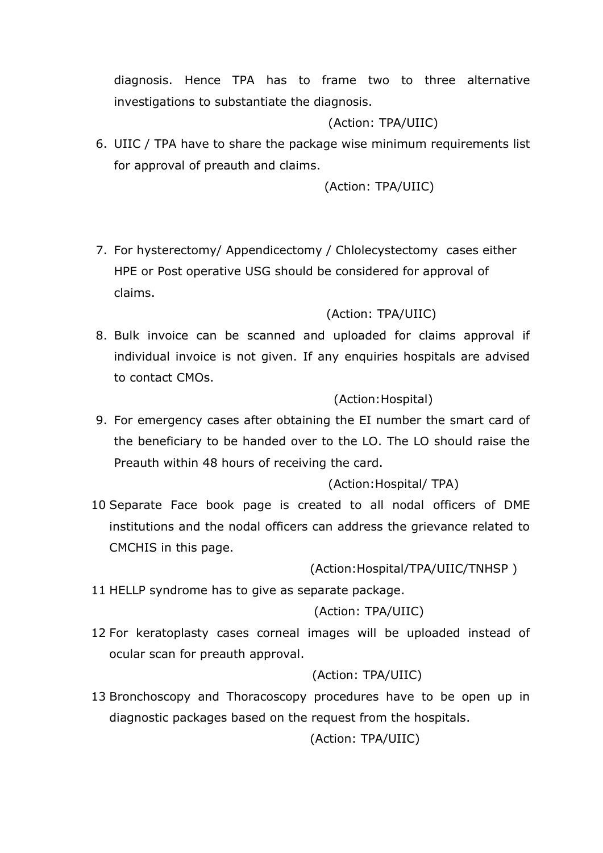diagnosis. Hence TPA has to frame two to three alternative investigations to substantiate the diagnosis.

#### (Action: TPA/UIIC)

6. UIIC / TPA have to share the package wise minimum requirements list for approval of preauth and claims.

(Action: TPA/UIIC)

7. For hysterectomy/ Appendicectomy / Chlolecystectomy cases either HPE or Post operative USG should be considered for approval of claims.

#### (Action: TPA/UIIC)

8. Bulk invoice can be scanned and uploaded for claims approval if individual invoice is not given. If any enquiries hospitals are advised to contact CMOs.

#### (Action: Hospital)

9. For emergency cases after obtaining the EI number the smart card of the beneficiary to be handed over to the LO. The LO should raise the Preauth within 48 hours of receiving the card.

## (Action:Hospital/ TPA)

10 Separate Face book page is created to all nodal officers of DME institutions and the nodal officers can address the grievance related to CMCHIS in this page.

(Action:Hospital/TPA/UIIC/TNHSP )

11 HELLP syndrome has to give as separate package.

#### (Action: TPA/UIIC)

12 For keratoplasty cases corneal images will be uploaded instead of ocular scan for preauth approval.

## (Action: TPA/UIIC)

13 Bronchoscopy and Thoracoscopy procedures have to be open up in diagnostic packages based on the request from the hospitals.

## (Action: TPA/UIIC)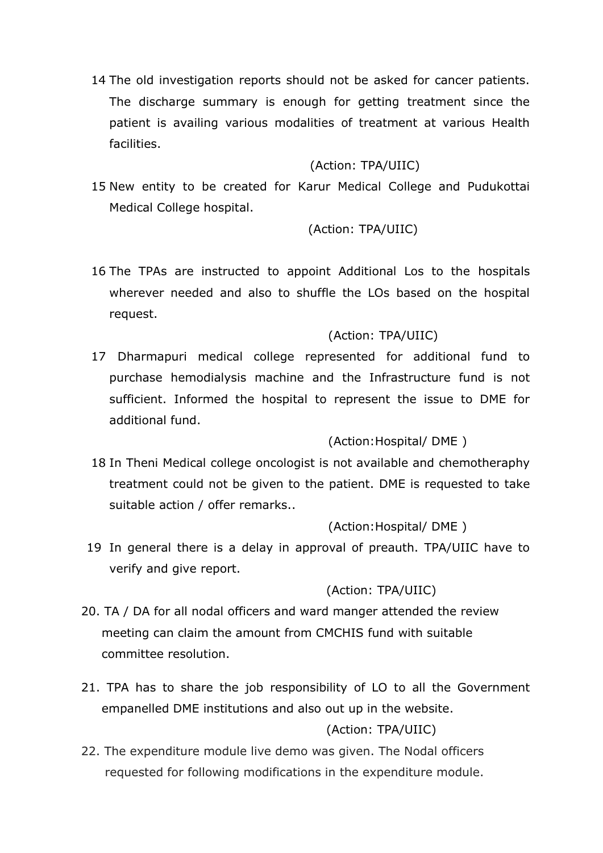14 The old investigation reports should not be asked for cancer patients. The discharge summary is enough for getting treatment since the patient is availing various modalities of treatment at various Health facilities.

#### (Action: TPA/UIIC)

15 New entity to be created for Karur Medical College and Pudukottai Medical College hospital.

#### (Action: TPA/UIIC)

16 The TPAs are instructed to appoint Additional Los to the hospitals wherever needed and also to shuffle the LOs based on the hospital request.

#### (Action: TPA/UIIC)

17 Dharmapuri medical college represented for additional fund to purchase hemodialysis machine and the Infrastructure fund is not sufficient. Informed the hospital to represent the issue to DME for additional fund.

## (Action:Hospital/ DME )

18 In Theni Medical college oncologist is not available and chemotheraphy treatment could not be given to the patient. DME is requested to take suitable action / offer remarks..

#### (Action:Hospital/ DME )

19 In general there is a delay in approval of preauth. TPA/UIIC have to verify and give report.

#### (Action: TPA/UIIC)

- 20. TA / DA for all nodal officers and ward manger attended the review meeting can claim the amount from CMCHIS fund with suitable committee resolution.
- 21. TPA has to share the job responsibility of LO to all the Government empanelled DME institutions and also out up in the website.

## (Action: TPA/UIIC)

 22. The expenditure module live demo was given. The Nodal officers requested for following modifications in the expenditure module.